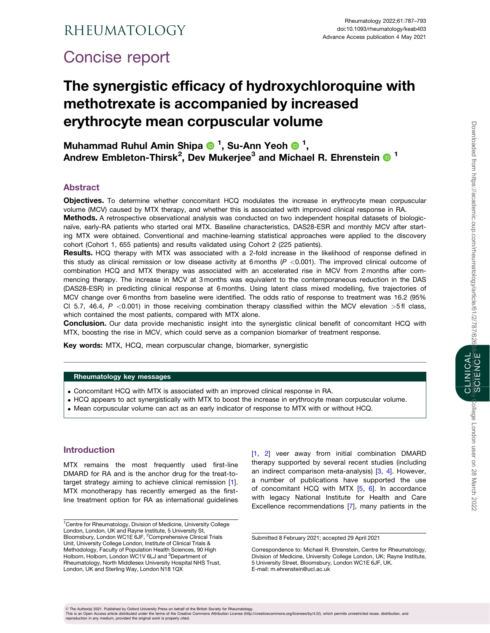# <span id="page-0-0"></span>Concise report

# The synergistic efficacy of hydroxychloroquine with methotrexate is accompanied by increased erythrocyte mean corpuscular volume

Muhammad Ruhul Amin Shipa <sup>n</sup>, Su-Ann Yeoh <sup>n</sup>, Andrew Embleton-Thirsk<sup>2</sup>, Dev Mukerjee<sup>3</sup> and Michael R. Ehrenstein O  $^{\text{1}}$ 

## Abstract

Objectives. To determine whether concomitant HCQ modulates the increase in erythrocyte mean corpuscular volume (MCV) caused by MTX therapy, and whether this is associated with improved clinical response in RA.

Methods. A retrospective observational analysis was conducted on two independent hospital datasets of biologicnaïve, early-RA patients who started oral MTX. Baseline characteristics, DAS28-ESR and monthly MCV after starting MTX were obtained. Conventional and machine-learning statistical approaches were applied to the discovery cohort (Cohort 1, 655 patients) and results validated using Cohort 2 (225 patients).

Results. HCQ therapy with MTX was associated with a 2-fold increase in the likelihood of response defined in this study as clinical remission or low disease activity at 6 months ( $P < 0.001$ ). The improved clinical outcome of combination HCQ and MTX therapy was associated with an accelerated rise in MCV from 2 months after commencing therapy. The increase in MCV at 3 months was equivalent to the contemporaneous reduction in the DAS (DAS28-ESR) in predicting clinical response at 6 months. Using latent class mixed modelling, five trajectories of MCV change over 6 months from baseline were identified. The odds ratio of response to treatment was 16.2 (95% CI 5.7, 46.4, P <0.001) in those receiving combination therapy classified within the MCV elevation >5 fl class, which contained the most patients, compared with MTX alone.

Conclusion. Our data provide mechanistic insight into the synergistic clinical benefit of concomitant HCQ with MTX, boosting the rise in MCV, which could serve as a companion biomarker of treatment response.

Key words: MTX, HCQ, mean corpuscular change, biomarker, synergistic

#### Rheumatology key messages

- . Concomitant HCQ with MTX is associated with an improved clinical response in RA.
- . HCQ appears to act synergistically with MTX to boost the increase in erythrocyte mean corpuscular volume.
- . Mean corpuscular volume can act as an early indicator of response to MTX with or without HCQ.

# Introduction

MTX remains the most frequently used first-line DMARD for RA and is the anchor drug for the treat-totarget strategy aiming to achieve clinical remission [\[1\]](#page-5-0). MTX monotherapy has recently emerged as the firstline treatment option for RA as international guidelines [[1,](#page-5-0) [2\]](#page-5-0) veer away from initial combination DMARD therapy supported by several recent studies (including an indirect comparison meta-analysis) [[3,](#page-5-0) [4\]](#page-5-0). However, a number of publications have supported the use of concomitant HCQ with MTX  $[5, 6]$  $[5, 6]$  $[5, 6]$  $[5, 6]$ . In accordance with legacy National Institute for Health and Care Excellence recommendations [[7](#page-5-0)], many patients in the CLINICAL

V<sup>C</sup> The Author(s) 2021. Published by Oxford University Press on behalf of the British Society for Rheumatology.

This is an Open Access article distributed under the terms of the Creative Commons Attribution License (http://creativecommons.org/licenses/by/4.0/), which permits unrestricted reuse, distribution, and<br>reproduction in any

<sup>&</sup>lt;sup>1</sup> Centre for Rheumatology, Division of Medicine, University College London, London, UK and Rayne Institute, 5 University St, Bloomsbury, London WC1E 6JF, <sup>2</sup>Comprehensive Clinical Trials Unit, University College London, Institute of Clinical Trials & Methodology, Faculty of Population Health Sciences, 90 High Holborn, Holborn, London WC1V 6LJ and <sup>3</sup>Department of Rheumatology, North Middlesex University Hospital NHS Trust, London, UK and Sterling Way, London N18 1QX

Submitted 8 February 2021; accepted 29 April 2021

Correspondence to: Michael R. Ehrenstein, Centre for Rheumatology, Division of Medicine, University College London, UK; Rayne Institute, 5 University Street, Bloomsbury, London WC1E 6JF, UK. E-mail: m.ehrenstein@ucl.ac.uk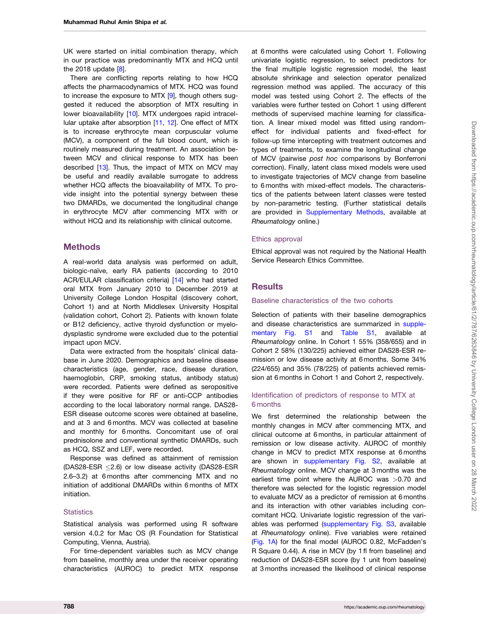<span id="page-1-0"></span>UK were started on initial combination therapy, which in our practice was predominantly MTX and HCQ until the 201[8](#page-5-0) update  $[8]$ .

There are conflicting reports relating to how HCQ affects the pharmacodynamics of MTX. HCQ was found to increase the exposure to MTX [[9](#page-5-0)], though others suggested it reduced the absorption of MTX resulting in lower bioavailability [[10](#page-5-0)]. MTX undergoes rapid intracellular uptake after absorption [\[11](#page-5-0), [12](#page-6-0)]. One effect of MTX is to increase erythrocyte mean corpuscular volume (MCV), a component of the full blood count, which is routinely measured during treatment. An association between MCV and clinical response to MTX has been described [\[13\]](#page-6-0). Thus, the impact of MTX on MCV may be useful and readily available surrogate to address whether HCQ affects the bioavailability of MTX. To provide insight into the potential synergy between these two DMARDs, we documented the longitudinal change in erythrocyte MCV after commencing MTX with or without HCQ and its relationship with clinical outcome.

## **Methods**

A real-world data analysis was performed on adult, biologic-naïve, early RA patients (according to 2010 ACR/EULAR classification criteria) [[14](#page-6-0)] who had started oral MTX from January 2010 to December 2019 at University College London Hospital (discovery cohort, Cohort 1) and at North Middlesex University Hospital (validation cohort, Cohort 2). Patients with known folate or B12 deficiency, active thyroid dysfunction or myelodysplastic syndrome were excluded due to the potential impact upon MCV.

Data were extracted from the hospitals' clinical database in June 2020. Demographics and baseline disease characteristics (age, gender, race, disease duration, haemoglobin, CRP, smoking status, antibody status) were recorded. Patients were defined as seropositive if they were positive for RF or anti-CCP antibodies according to the local laboratory normal range. DAS28- ESR disease outcome scores were obtained at baseline, and at 3 and 6 months. MCV was collected at baseline and monthly for 6 months. Concomitant use of oral prednisolone and conventional synthetic DMARDs, such as HCQ, SSZ and LEF, were recorded.

Response was defined as attainment of remission (DAS28-ESR  $\leq$ 2.6) or low disease activity (DAS28-ESR 2.6–3.2) at 6 months after commencing MTX and no initiation of additional DMARDs within 6 months of MTX initiation.

#### **Statistics**

Statistical analysis was performed using R software version 4.0.2 for Mac OS (R Foundation for Statistical Computing, Vienna, Austria).

For time-dependent variables such as MCV change from baseline, monthly area under the receiver operating characteristics (AUROC) to predict MTX response at 6 months were calculated using Cohort 1. Following univariate logistic regression, to select predictors for the final multiple logistic regression model, the least absolute shrinkage and selection operator penalized regression method was applied. The accuracy of this model was tested using Cohort 2. The effects of the variables were further tested on Cohort 1 using different methods of supervised machine learning for classification. A linear mixed model was fitted using randomeffect for individual patients and fixed-effect for follow-up time intercepting with treatment outcomes and types of treatments, to examine the longitudinal change of MCV (pairwise post hoc comparisons by Bonferroni correction). Finally, latent class mixed models were used to investigate trajectories of MCV change from baseline to 6 months with mixed-effect models. The characteristics of the patients between latent classes were tested by non-parametric testing. (Further statistical details are provided in [Supplementary Methods](https://academic.oup.com/rheumatology/article-lookup/doi/10.1093/rheumatology/keab403#supplementary-data), available at Rheumatology online.)

#### Ethics approval

Ethical approval was not required by the National Health Service Research Ethics Committee.

## **Results**

#### Baseline characteristics of the two cohorts

Selection of patients with their baseline demographics and disease characteristics are summarized in [supple](https://academic.oup.com/rheumatology/article-lookup/doi/10.1093/rheumatology/keab403#supplementary-data)[mentary Fig. S1](https://academic.oup.com/rheumatology/article-lookup/doi/10.1093/rheumatology/keab403#supplementary-data) and [Table S1,](https://academic.oup.com/rheumatology/article-lookup/doi/10.1093/rheumatology/keab403#supplementary-data) available at Rheumatology online. In Cohort 1 55% (358/655) and in Cohort 2 58% (130/225) achieved either DAS28-ESR remission or low disease activity at 6 months. Some 34% (224/655) and 35% (78/225) of patients achieved remission at 6 months in Cohort 1 and Cohort 2, respectively.

### Identification of predictors of response to MTX at 6 months

We first determined the relationship between the monthly changes in MCV after commencing MTX, and clinical outcome at 6 months, in particular attainment of remission or low disease activity. AUROC of monthly change in MCV to predict MTX response at 6 months are shown in [supplementary Fig. S2](https://academic.oup.com/rheumatology/article-lookup/doi/10.1093/rheumatology/keab403#supplementary-data), available at Rheumatology online. MCV change at 3 months was the earliest time point where the AUROC was >0.70 and therefore was selected for the logistic regression model to evaluate MCV as a predictor of remission at 6 months and its interaction with other variables including concomitant HCQ. Univariate logistic regression of the variables was performed [\(supplementary Fig. S3](https://academic.oup.com/rheumatology/article-lookup/doi/10.1093/rheumatology/keab403#supplementary-data), available at Rheumatology online). Five variables were retained ([Fig. 1A\)](#page-2-0) for the final model (AUROC 0.82, McFadden's R Square 0.44). A rise in MCV (by 1 fl from baseline) and reduction of DAS28-ESR score (by 1 unit from baseline) at 3 months increased the likelihood of clinical response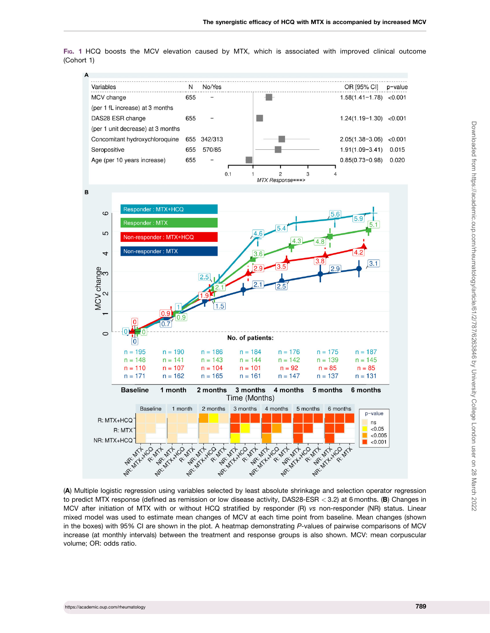<span id="page-2-0"></span>FIG. 1 HCQ boosts the MCV elevation caused by MTX, which is associated with improved clinical outcome (Cohort 1)



(A) Multiple logistic regression using variables selected by least absolute shrinkage and selection operator regression to predict MTX response (defined as remission or low disease activity, DAS28-ESR < 3.2) at 6 months. (B) Changes in MCV after initiation of MTX with or without HCQ stratified by responder (R) vs non-responder (NR) status. Linear mixed model was used to estimate mean changes of MCV at each time point from baseline. Mean changes (shown in the boxes) with 95% CI are shown in the plot. A heatmap demonstrating P-values of pairwise comparisons of MCV increase (at monthly intervals) between the treatment and response groups is also shown. MCV: mean corpuscular volume; OR: odds ratio.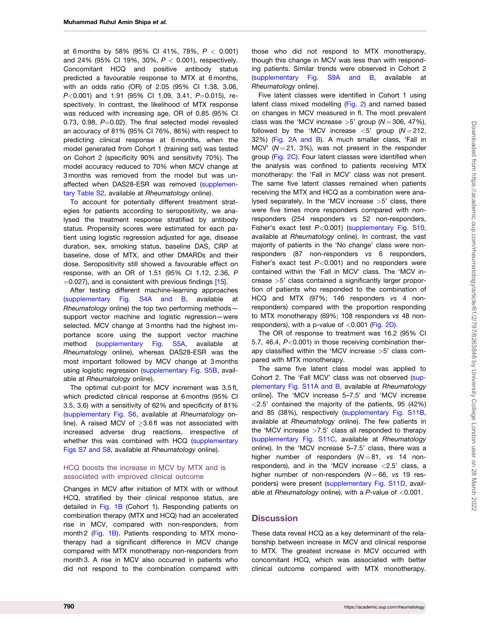<span id="page-3-0"></span>at 6 months by 58% (95% CI 41%, 78%,  $P < 0.001$ ) and 24% (95% CI 19%, 30%,  $P < 0.001$ ), respectively. Concomitant HCQ and positive antibody status predicted a favourable response to MTX at 6 months, with an odds ratio (OR) of 2.05 (95% CI 1.38, 3.06,  $P<0.001$ ) and 1.91 (95% CI 1.09, 3.41,  $P=0.015$ ), respectively. In contrast, the likelihood of MTX response was reduced with increasing age, OR of 0.85 (95% CI 0.73, 0.98,  $P=0.02$ ). The final selected model revealed an accuracy of 81% (95% CI 76%, 86%) with respect to predicting clinical response at 6 months, when the model generated from Cohort 1 (training set) was tested on Cohort 2 (specificity 90% and sensitivity 70%). The model accuracy reduced to 70% when MCV change at 3 months was removed from the model but was unaffected when DAS28-ESR was removed [\(supplemen](https://academic.oup.com/rheumatology/article-lookup/doi/10.1093/rheumatology/keab403#supplementary-data)[tary Table S2,](https://academic.oup.com/rheumatology/article-lookup/doi/10.1093/rheumatology/keab403#supplementary-data) available at Rheumatology online).

To account for potentially different treatment strategies for patients according to seropositivity, we analysed the treatment response stratified by antibody status. Propensity scores were estimated for each patient using logistic regression adjusted for age, disease duration, sex, smoking status, baseline DAS, CRP at baseline, dose of MTX, and other DMARDs and their dose. Seropositivity still showed a favourable effect on response, with an OR of 1.51 (95% CI 1.12, 2.36, P  $=0.027$ ), and is consistent with previous findings [\[15](#page-6-0)].

After testing different machine-learning approaches ([supplementary Fig. S4A and B](https://academic.oup.com/rheumatology/article-lookup/doi/10.1093/rheumatology/keab403#supplementary-data), available at Rheumatology online) the top two performing methods support vector machine and logistic regression—were selected. MCV change at 3 months had the highest importance score using the support vector machine method [\(supplementary Fig. S5A,](https://academic.oup.com/rheumatology/article-lookup/doi/10.1093/rheumatology/keab403#supplementary-data) available at Rheumatology online), whereas DAS28-ESR was the most important followed by MCV change at 3 months using logistic regression [\(supplementary Fig. S5B](https://academic.oup.com/rheumatology/article-lookup/doi/10.1093/rheumatology/keab403#supplementary-data), available at Rheumatology online).

The optimal cut-point for MCV increment was 3.5 fl, which predicted clinical response at 6 months (95% CI 3.5, 3.6) with a sensitivity of 62% and specificity of 81% ([supplementary Fig. S6](https://academic.oup.com/rheumatology/article-lookup/doi/10.1093/rheumatology/keab403#supplementary-data), available at Rheumatology online). A raised MCV of  $>3.6$  fl was not associated with increased adverse drug reactions, irrespective of whether this was combined with HCQ [\(supplementary](https://academic.oup.com/rheumatology/article-lookup/doi/10.1093/rheumatology/keab403#supplementary-data) [Figs S7 and S8](https://academic.oup.com/rheumatology/article-lookup/doi/10.1093/rheumatology/keab403#supplementary-data), available at Rheumatology online).

### HCQ boosts the increase in MCV by MTX and is associated with improved clinical outcome

Changes in MCV after initiation of MTX with or without HCQ, stratified by their clinical response status, are detailed in [Fig. 1B](#page-2-0) (Cohort 1). Responding patients on combination therapy (MTX and HCQ) had an accelerated rise in MCV, compared with non-responders, from month 2 ([Fig. 1B\)](#page-2-0). Patients responding to MTX monotherapy had a significant difference in MCV change compared with MTX monotherapy non-responders from month 3. A rise in MCV also occurred in patients who did not respond to the combination compared with

those who did not respond to MTX monotherapy, though this change in MCV was less than with responding patients. Similar trends were observed in Cohort 2 ([supplementary Fig. S9A and B,](https://academic.oup.com/rheumatology/article-lookup/doi/10.1093/rheumatology/keab403#supplementary-data) available at Rheumatology online).

Five latent classes were identified in Cohort 1 using latent class mixed modelling ([Fig. 2](#page-4-0)) and named based on changes in MCV measured in fl. The most prevalent class was the 'MCV increase  $>5$ ' group ( $N = 306, 47\%$ ), followed by the 'MCV increase  $\lt 5$ ' group ( $N = 212$ , 32%) ([Fig. 2A and B\)](#page-4-0). A much smaller class, 'Fall in MCV' ( $N = 21$ , 3%), was not present in the responder group [\(Fig. 2C\)](#page-4-0). Four latent classes were identified when the analysis was confined to patients receiving MTX monotherapy: the 'Fall in MCV' class was not present. The same five latent classes remained when patients receiving the MTX and HCQ as a combination were analysed separately. In the 'MCV increase >5' class, there were five times more responders compared with nonresponders (254 responders vs 52 non-responders, Fisher's exact test  $P < 0.001$ ) ([supplementary Fig. S10,](https://academic.oup.com/rheumatology/article-lookup/doi/10.1093/rheumatology/keab403#supplementary-data) available at Rheumatology online). In contrast, the vast majority of patients in the 'No change' class were nonresponders (87 non-responders vs 6 responders, Fisher's exact test  $P < 0.001$ ) and no responders were contained within the 'Fall in MCV' class. The 'MCV increase >5' class contained a significantly larger proportion of patients who responded to the combination of HCQ and MTX (97%; 146 responders vs 4 nonresponders) compared with the proportion responding to MTX monotherapy (69%; 108 responders vs 48 nonresponders), with a p-value of  $< 0.001$  [\(Fig. 2D\)](#page-4-0).

The OR of response to treatment was 16.2 (95% CI 5.7, 46.4,  $P<0.001$ ) in those receiving combination therapy classified within the 'MCV increase >5' class compared with MTX monotherapy.

The same five latent class model was applied to Cohort 2. The 'Fall MCV' class was not observed ([sup](https://academic.oup.com/rheumatology/article-lookup/doi/10.1093/rheumatology/keab403#supplementary-data)[plementary Fig. S11A and B](https://academic.oup.com/rheumatology/article-lookup/doi/10.1093/rheumatology/keab403#supplementary-data), available at Rheumatology online]. The 'MCV increase 5–7.5' and 'MCV increase  $\langle 2.5'$  contained the majority of the patients, 95 (42%) and 85 (38%), respectively ([supplementary Fig. S11B,](https://academic.oup.com/rheumatology/article-lookup/doi/10.1093/rheumatology/keab403#supplementary-data) available at Rheumatology online). The few patients in the 'MCV increase  $>7.5$ ' class all responded to therapy ([supplementary Fig. S11C](https://academic.oup.com/rheumatology/article-lookup/doi/10.1093/rheumatology/keab403#supplementary-data), available at Rheumatology online). In the 'MCV increase 5–7.5' class, there was a higher number of responders  $(N = 81, vs 14$  nonresponders), and in the 'MCV increase <2.5' class, a higher number of non-responders  $(N = 66, \text{ vs } 19 \text{ res-}$ ponders) were present [\(supplementary Fig. S11D,](https://academic.oup.com/rheumatology/article-lookup/doi/10.1093/rheumatology/keab403#supplementary-data) available at Rheumatology online), with a P-value of  $<$ 0.001.

## **Discussion**

These data reveal HCQ as a key determinant of the relationship between increase in MCV and clinical response to MTX. The greatest increase in MCV occurred with concomitant HCQ, which was associated with better clinical outcome compared with MTX monotherapy.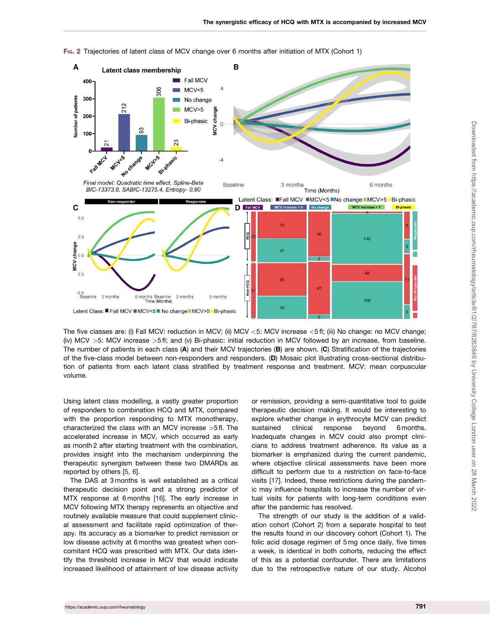

<span id="page-4-0"></span>FIG. 2 Trajectories of latent class of MCV change over 6 months after initiation of MTX (Cohort 1)

The five classes are: (i) Fall MCV: reduction in MCV; (ii) MCV <5: MCV increase <5 fl; (iii) No change: no MCV change; (iv) MCV >5: MCV increase >5 fl; and (v) Bi-phasic: initial reduction in MCV followed by an increase, from baseline. The number of patients in each class (A) and their MCV trajectories (B) are shown. (C) Stratification of the trajectories of the five-class model between non-responders and responders. (D) Mosaic plot illustrating cross-sectional distribution of patients from each latent class stratified by treatment response and treatment. MCV: mean corpuscular volume.

Using latent class modelling, a vastly greater proportion of responders to combination HCQ and MTX, compared with the proportion responding to MTX monotherapy, characterized the class with an MCV increase >5 fl. The accelerated increase in MCV, which occurred as early as month 2 after starting treatment with the combination, provides insight into the mechanism underpinning the therapeutic synergism between these two DMARDs as reported by others [[5](#page-5-0), [6](#page-5-0)].

The DAS at 3 months is well established as a critical therapeutic decision point and a strong predictor of MTX response at 6 months [\[16\]](#page-6-0). The early increase in MCV following MTX therapy represents an objective and routinely available measure that could supplement clinical assessment and facilitate rapid optimization of therapy. Its accuracy as a biomarker to predict remission or low disease activity at 6 months was greatest when concomitant HCQ was prescribed with MTX. Our data identify the threshold increase in MCV that would indicate increased likelihood of attainment of low disease activity or remission, providing a semi-quantitative tool to guide therapeutic decision making. It would be interesting to explore whether change in erythrocyte MCV can predict sustained clinical response beyond 6 months. Inadequate changes in MCV could also prompt clinicians to address treatment adherence. Its value as a biomarker is emphasized during the current pandemic, where objective clinical assessments have been more difficult to perform due to a restriction on face-to-face visits [\[17](#page-6-0)]. Indeed, these restrictions during the pandemic may influence hospitals to increase the number of virtual visits for patients with long-term conditions even after the pandemic has resolved.

The strength of our study is the addition of a validation cohort (Cohort 2) from a separate hospital to test the results found in our discovery cohort (Cohort 1). The folic acid dosage regimen of 5 mg once daily, five times a week, is identical in both cohorts, reducing the effect of this as a potential confounder. There are limitations due to the retrospective nature of our study. Alcohol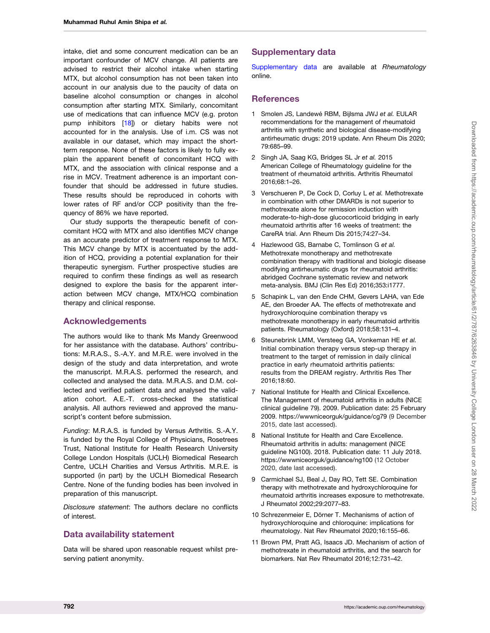<span id="page-5-0"></span>intake, diet and some concurrent medication can be an important confounder of MCV change. All patients are advised to restrict their alcohol intake when starting MTX, but alcohol consumption has not been taken into account in our analysis due to the paucity of data on baseline alcohol consumption or changes in alcohol consumption after starting MTX. Similarly, concomitant use of medications that can influence MCV (e.g. proton pump inhibitors [[18](#page-6-0)]) or dietary habits were not accounted for in the analysis. Use of i.m. CS was not available in our dataset, which may impact the shortterm response. None of these factors is likely to fully explain the apparent benefit of concomitant HCQ with MTX, and the association with clinical response and a rise in MCV. Treatment adherence is an important confounder that should be addressed in future studies. These results should be reproduced in cohorts with lower rates of RF and/or CCP positivity than the frequency of 86% we have reported.

Our study supports the therapeutic benefit of concomitant HCQ with MTX and also identifies MCV change as an accurate predictor of treatment response to MTX. This MCV change by MTX is accentuated by the addition of HCQ, providing a potential explanation for their therapeutic synergism. Further prospective studies are required to confirm these findings as well as research designed to explore the basis for the apparent interaction between MCV change, MTX/HCQ combination therapy and clinical response.

## Acknowledgements

The authors would like to thank Ms Mandy Greenwood for her assistance with the database. Authors' contributions: M.R.A.S., S.-A.Y. and M.R.E. were involved in the design of the study and data interpretation, and wrote the manuscript. M.R.A.S. performed the research, and collected and analysed the data. M.R.A.S. and D.M. collected and verified patient data and analysed the validation cohort. A.E.-T. cross-checked the statistical analysis. All authors reviewed and approved the manuscript's content before submission.

Funding: M.R.A.S. is funded by Versus Arthritis. S.-A.Y. is funded by the Royal College of Physicians, Rosetrees Trust, National Institute for Health Research University College London Hospitals (UCLH) Biomedical Research Centre, UCLH Charities and Versus Arthritis. M.R.E. is supported (in part) by the UCLH Biomedical Research Centre. None of the funding bodies has been involved in preparation of this manuscript.

Disclosure statement: The authors declare no conflicts of interest.

# Data availability statement

Data will be shared upon reasonable request whilst preserving patient anonymity.

# Supplementary data

[Supplementary data](https://academic.oup.com/rheumatology/article-lookup/doi/10.1093/rheumatology/keab403#supplementary-data) are available at Rheumatology online.

# **References**

- [1](#page-0-0) Smolen JS, Landewé RBM, Bijlsma JWJ et al. EULAR recommendations for the management of rheumatoid arthritis with synthetic and biological disease-modifying antirheumatic drugs: 2019 update. Ann Rheum Dis 2020; 79:685–99.
- [2](#page-0-0) Singh JA, Saag KG, Bridges SL Jr et al. 2015 American College of Rheumatology guideline for the treatment of rheumatoid arthritis. Arthritis Rheumatol 2016;68:1–26.
- [3](#page-0-0) Verschueren P, De Cock D, Corluy L et al. Methotrexate in combination with other DMARDs is not superior to methotrexate alone for remission induction with moderate-to-high-dose glucocorticoid bridging in early rheumatoid arthritis after 16 weeks of treatment: the CareRA trial. Ann Rheum Dis 2015;74:27–34.
- [4](#page-0-0) Hazlewood GS, Barnabe C, Tomlinson G et al. Methotrexate monotherapy and methotrexate combination therapy with traditional and biologic disease modifying antirheumatic drugs for rheumatoid arthritis: abridged Cochrane systematic review and network meta-analysis. BMJ (Clin Res Ed) 2016;353:i1777.
- [5](#page-0-0) Schapink L, van den Ende CHM, Gevers LAHA, van Ede AE, den Broeder AA. The effects of methotrexate and hydroxychloroquine combination therapy vs methotrexate monotherapy in early rheumatoid arthritis patients. Rheumatology (Oxford) 2018;58:131–4.
- [6](#page-0-0) Steunebrink LMM, Versteeg GA, Vonkeman HE et al. Initial combination therapy versus step-up therapy in treatment to the target of remission in daily clinical practice in early rheumatoid arthritis patients: results from the DREAM registry. Arthritis Res Ther 2016;18:60.
- [7](#page-0-0) National Institute for Health and Clinical Excellence. The Management of rheumatoid arthritis in adults (NICE clinical guideline 79). 2009. Publication date: 25 February 2009.<https://wwwniceorguk/guidance/cg79> (9 December 2015, date last accessed).
- [8](#page-1-0) National Institute for Health and Care Excellence. Rheumatoid arthritis in adults: management (NICE guideline NG100). 2018. Publication date: 11 July 2018. <https://wwwniceorguk/guidance/ng100> (12 October 2020, date last accessed).
- [9](#page-1-0) Carmichael SJ, Beal J, Day RO, Tett SE. Combination therapy with methotrexate and hydroxychloroquine for rheumatoid arthritis increases exposure to methotrexate. J Rheumatol 2002;29:2077–83.
- [10](#page-1-0) Schrezenmeier E, Dörner T. Mechanisms of action of hydroxychloroquine and chloroquine: implications for rheumatology. Nat Rev Rheumatol 2020;16:155–66.
- [11](#page-1-0) Brown PM, Pratt AG, Isaacs JD. Mechanism of action of methotrexate in rheumatoid arthritis, and the search for biomarkers. Nat Rev Rheumatol 2016;12:731–42.